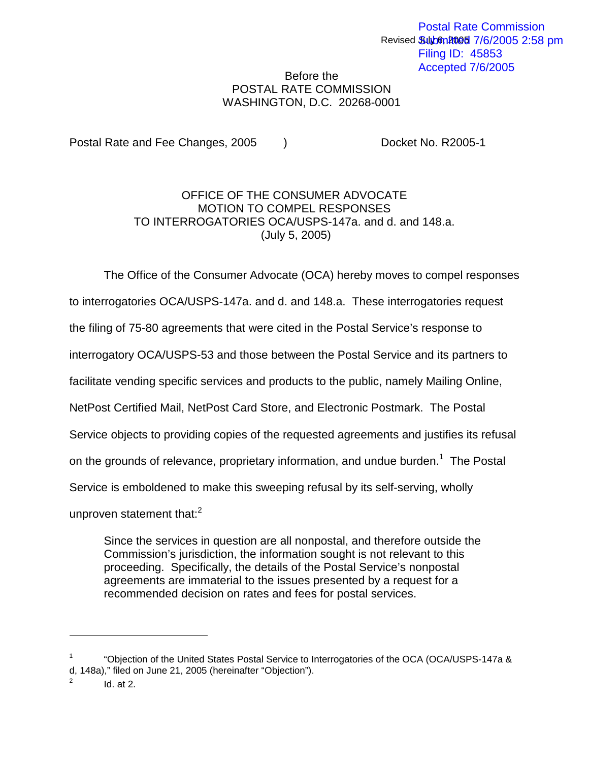## Before the POSTAL RATE COMMISSION WASHINGTON, D.C. 20268-0001

Postal Rate and Fee Changes, 2005 (a) Docket No. R2005-1

## OFFICE OF THE CONSUMER ADVOCATE MOTION TO COMPEL RESPONSES TO INTERROGATORIES OCA/USPS-147a. and d. and 148.a. (July 5, 2005)

The Office of the Consumer Advocate (OCA) hereby moves to compel responses

to interrogatories OCA/USPS-147a. and d. and 148.a. These interrogatories request

the filing of 75-80 agreements that were cited in the Postal Service's response to

interrogatory OCA/USPS-53 and those between the Postal Service and its partners to

facilitate vending specific services and products to the public, namely Mailing Online,

NetPost Certified Mail, NetPost Card Store, and Electronic Postmark. The Postal

Service objects to providing copies of the requested agreements and justifies its refusal

on the grounds of relevance, proprietary information, and undue burden.<sup>1</sup> The Postal

Service is emboldened to make this sweeping refusal by its self-serving, wholly

unproven statement that: $2<sup>2</sup>$ 

Since the services in question are all nonpostal, and therefore outside the Commission's jurisdiction, the information sought is not relevant to this proceeding. Specifically, the details of the Postal Service's nonpostal agreements are immaterial to the issues presented by a request for a recommended decision on rates and fees for postal services.

<sup>1</sup> "Objection of the United States Postal Service to Interrogatories of the OCA (OCA/USPS-147a & d, 148a)," filed on June 21, 2005 (hereinafter "Objection").

 $Id.$  at  $2.$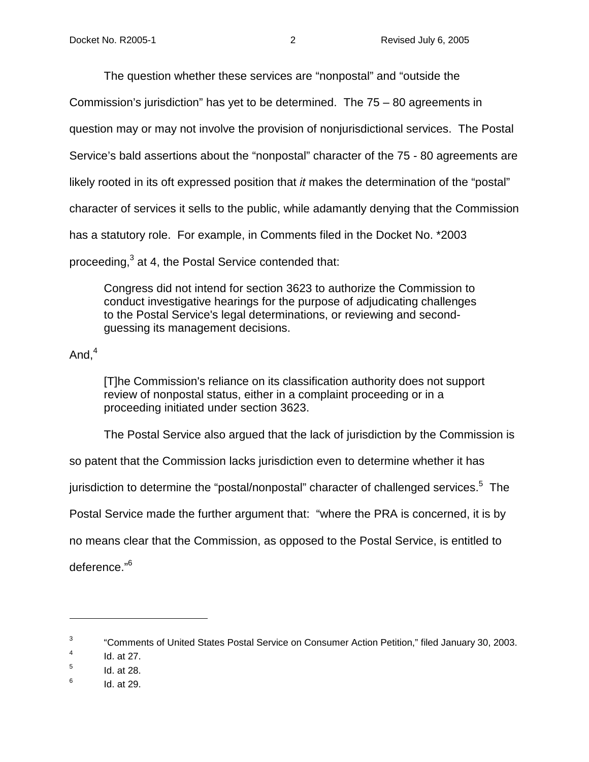The question whether these services are "nonpostal" and "outside the

Commission's jurisdiction" has yet to be determined. The 75 – 80 agreements in

question may or may not involve the provision of nonjurisdictional services. The Postal

Service's bald assertions about the "nonpostal" character of the 75 - 80 agreements are

likely rooted in its oft expressed position that *it* makes the determination of the "postal"

character of services it sells to the public, while adamantly denying that the Commission

has a statutory role. For example, in Comments filed in the Docket No. \*2003

proceeding,<sup>3</sup> at 4, the Postal Service contended that:

Congress did not intend for section 3623 to authorize the Commission to conduct investigative hearings for the purpose of adjudicating challenges to the Postal Service's legal determinations, or reviewing and secondguessing its management decisions.

And, $4$ 

[T]he Commission's reliance on its classification authority does not support review of nonpostal status, either in a complaint proceeding or in a proceeding initiated under section 3623.

The Postal Service also argued that the lack of jurisdiction by the Commission is

so patent that the Commission lacks jurisdiction even to determine whether it has

jurisdiction to determine the "postal/nonpostal" character of challenged services.<sup>5</sup> The

Postal Service made the further argument that: "where the PRA is concerned, it is by

no means clear that the Commission, as opposed to the Postal Service, is entitled to

deference."6

 $6$  Id. at 29.

<sup>&</sup>lt;sup>3</sup> "Comments of United States Postal Service on Consumer Action Petition," filed January 30, 2003.

 $4$  Id. at 27.

 $<sup>5</sup>$  Id. at 28.</sup>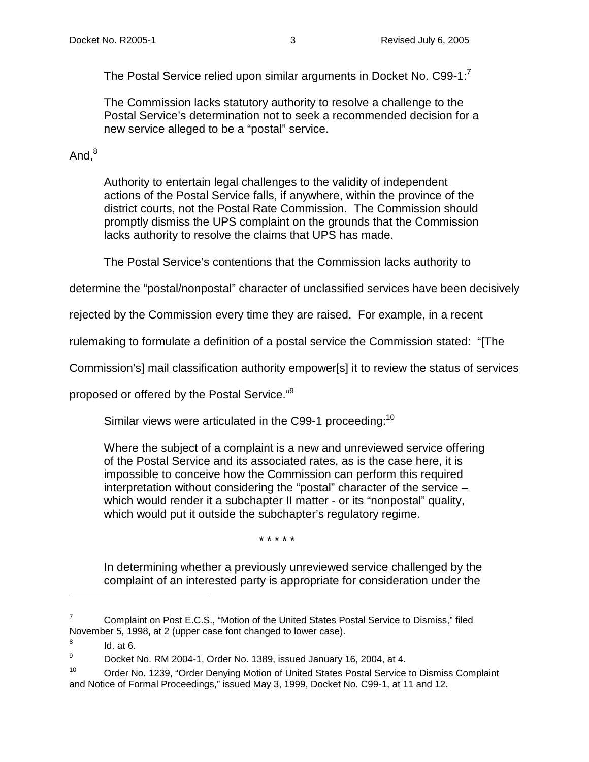The Postal Service relied upon similar arguments in Docket No. C99-1:<sup>7</sup>

The Commission lacks statutory authority to resolve a challenge to the Postal Service's determination not to seek a recommended decision for a new service alleged to be a "postal" service.

# And. $8$

Authority to entertain legal challenges to the validity of independent actions of the Postal Service falls, if anywhere, within the province of the district courts, not the Postal Rate Commission. The Commission should promptly dismiss the UPS complaint on the grounds that the Commission lacks authority to resolve the claims that UPS has made.

The Postal Service's contentions that the Commission lacks authority to

determine the "postal/nonpostal" character of unclassified services have been decisively

rejected by the Commission every time they are raised. For example, in a recent

rulemaking to formulate a definition of a postal service the Commission stated: "[The

Commission's] mail classification authority empower[s] it to review the status of services

proposed or offered by the Postal Service."9

Similar views were articulated in the C99-1 proceeding:<sup>10</sup>

Where the subject of a complaint is a new and unreviewed service offering of the Postal Service and its associated rates, as is the case here, it is impossible to conceive how the Commission can perform this required interpretation without considering the "postal" character of the service – which would render it a subchapter II matter - or its "nonpostal" quality, which would put it outside the subchapter's regulatory regime.

\* \* \* \* \*

In determining whether a previously unreviewed service challenged by the complaint of an interested party is appropriate for consideration under the

 $7$  Complaint on Post E.C.S., "Motion of the United States Postal Service to Dismiss," filed November 5, 1998, at 2 (upper case font changed to lower case).

 $8$  Id. at 6.

<sup>9</sup> Docket No. RM 2004-1, Order No. 1389, issued January 16, 2004, at 4.

<sup>&</sup>lt;sup>10</sup> Order No. 1239, "Order Denying Motion of United States Postal Service to Dismiss Complaint and Notice of Formal Proceedings," issued May 3, 1999, Docket No. C99-1, at 11 and 12.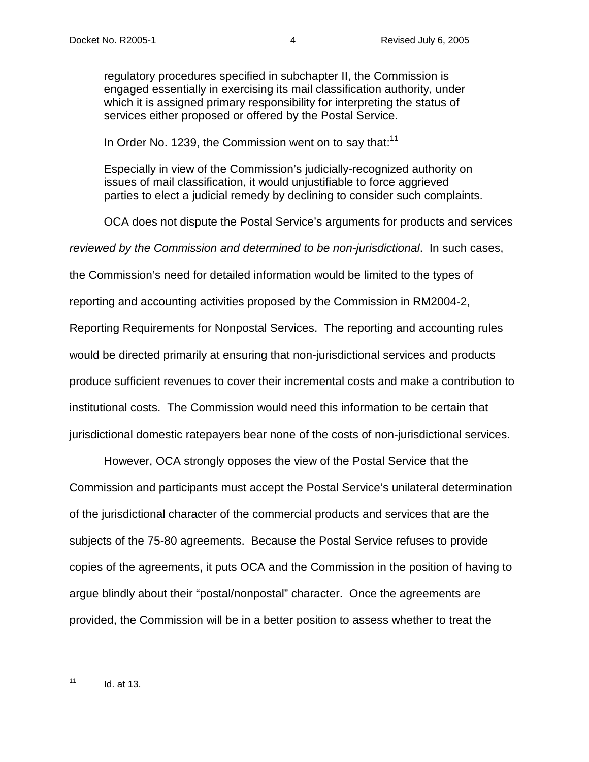regulatory procedures specified in subchapter II, the Commission is engaged essentially in exercising its mail classification authority, under which it is assigned primary responsibility for interpreting the status of services either proposed or offered by the Postal Service.

In Order No. 1239, the Commission went on to say that:<sup>11</sup>

Especially in view of the Commission's judicially-recognized authority on issues of mail classification, it would unjustifiable to force aggrieved parties to elect a judicial remedy by declining to consider such complaints.

OCA does not dispute the Postal Service's arguments for products and services

reviewed by the Commission and determined to be non-jurisdictional. In such cases,

the Commission's need for detailed information would be limited to the types of

reporting and accounting activities proposed by the Commission in RM2004-2,

Reporting Requirements for Nonpostal Services. The reporting and accounting rules

would be directed primarily at ensuring that non-jurisdictional services and products

produce sufficient revenues to cover their incremental costs and make a contribution to

institutional costs. The Commission would need this information to be certain that

jurisdictional domestic ratepayers bear none of the costs of non-jurisdictional services.

 However, OCA strongly opposes the view of the Postal Service that the Commission and participants must accept the Postal Service's unilateral determination of the jurisdictional character of the commercial products and services that are the subjects of the 75-80 agreements. Because the Postal Service refuses to provide copies of the agreements, it puts OCA and the Commission in the position of having to argue blindly about their "postal/nonpostal" character. Once the agreements are provided, the Commission will be in a better position to assess whether to treat the

 $11$  Id. at 13.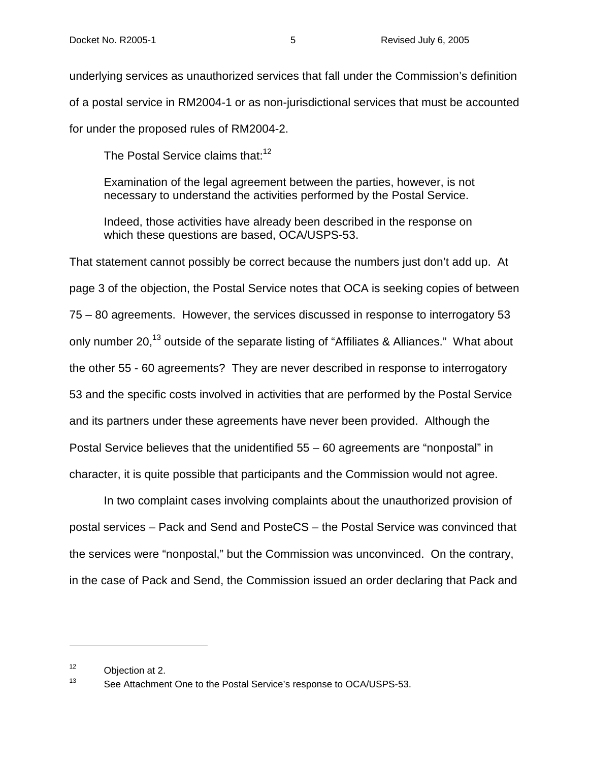underlying services as unauthorized services that fall under the Commission's definition of a postal service in RM2004-1 or as non-jurisdictional services that must be accounted for under the proposed rules of RM2004-2.

The Postal Service claims that:  $12$ 

Examination of the legal agreement between the parties, however, is not necessary to understand the activities performed by the Postal Service.

Indeed, those activities have already been described in the response on which these questions are based, OCA/USPS-53.

That statement cannot possibly be correct because the numbers just don't add up. At page 3 of the objection, the Postal Service notes that OCA is seeking copies of between 75 – 80 agreements. However, the services discussed in response to interrogatory 53 only number 20,<sup>13</sup> outside of the separate listing of "Affiliates & Alliances." What about the other 55 - 60 agreements? They are never described in response to interrogatory 53 and the specific costs involved in activities that are performed by the Postal Service and its partners under these agreements have never been provided. Although the Postal Service believes that the unidentified 55 – 60 agreements are "nonpostal" in character, it is quite possible that participants and the Commission would not agree.

In two complaint cases involving complaints about the unauthorized provision of postal services – Pack and Send and PosteCS – the Postal Service was convinced that the services were "nonpostal," but the Commission was unconvinced. On the contrary, in the case of Pack and Send, the Commission issued an order declaring that Pack and

<sup>12</sup> Objection at 2.

<sup>13</sup> See Attachment One to the Postal Service's response to OCA/USPS-53.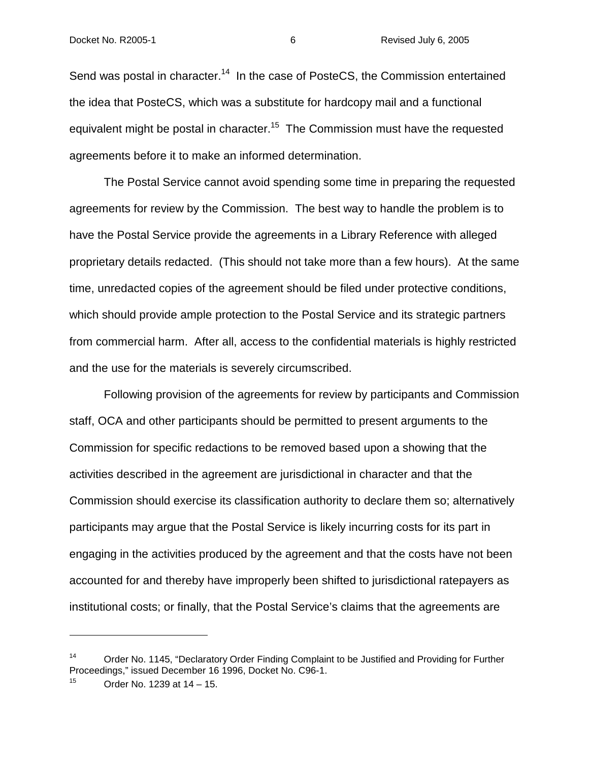### Docket No. R2005-1 6 Revised July 6, 2005

Send was postal in character.<sup>14</sup> In the case of PosteCS, the Commission entertained the idea that PosteCS, which was a substitute for hardcopy mail and a functional equivalent might be postal in character.<sup>15</sup> The Commission must have the requested agreements before it to make an informed determination.

 The Postal Service cannot avoid spending some time in preparing the requested agreements for review by the Commission. The best way to handle the problem is to have the Postal Service provide the agreements in a Library Reference with alleged proprietary details redacted. (This should not take more than a few hours). At the same time, unredacted copies of the agreement should be filed under protective conditions, which should provide ample protection to the Postal Service and its strategic partners from commercial harm. After all, access to the confidential materials is highly restricted and the use for the materials is severely circumscribed.

Following provision of the agreements for review by participants and Commission staff, OCA and other participants should be permitted to present arguments to the Commission for specific redactions to be removed based upon a showing that the activities described in the agreement are jurisdictional in character and that the Commission should exercise its classification authority to declare them so; alternatively participants may argue that the Postal Service is likely incurring costs for its part in engaging in the activities produced by the agreement and that the costs have not been accounted for and thereby have improperly been shifted to jurisdictional ratepayers as institutional costs; or finally, that the Postal Service's claims that the agreements are

<sup>&</sup>lt;sup>14</sup> Order No. 1145, "Declaratory Order Finding Complaint to be Justified and Providing for Further Proceedings," issued December 16 1996, Docket No. C96-1.

Order No. 1239 at 14 – 15.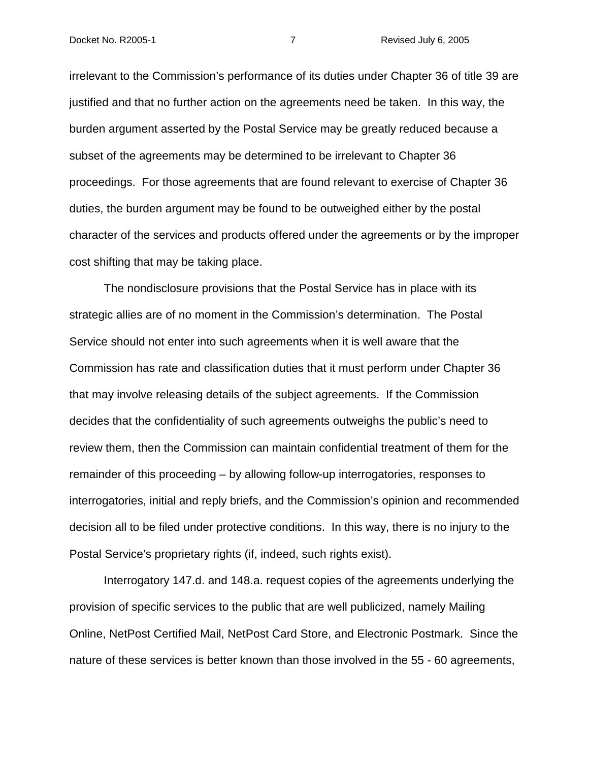#### Docket No. R2005-1 7 Revised July 6, 2005

irrelevant to the Commission's performance of its duties under Chapter 36 of title 39 are justified and that no further action on the agreements need be taken. In this way, the burden argument asserted by the Postal Service may be greatly reduced because a subset of the agreements may be determined to be irrelevant to Chapter 36 proceedings. For those agreements that are found relevant to exercise of Chapter 36 duties, the burden argument may be found to be outweighed either by the postal character of the services and products offered under the agreements or by the improper cost shifting that may be taking place.

 The nondisclosure provisions that the Postal Service has in place with its strategic allies are of no moment in the Commission's determination. The Postal Service should not enter into such agreements when it is well aware that the Commission has rate and classification duties that it must perform under Chapter 36 that may involve releasing details of the subject agreements. If the Commission decides that the confidentiality of such agreements outweighs the public's need to review them, then the Commission can maintain confidential treatment of them for the remainder of this proceeding – by allowing follow-up interrogatories, responses to interrogatories, initial and reply briefs, and the Commission's opinion and recommended decision all to be filed under protective conditions. In this way, there is no injury to the Postal Service's proprietary rights (if, indeed, such rights exist).

 Interrogatory 147.d. and 148.a. request copies of the agreements underlying the provision of specific services to the public that are well publicized, namely Mailing Online, NetPost Certified Mail, NetPost Card Store, and Electronic Postmark. Since the nature of these services is better known than those involved in the 55 - 60 agreements,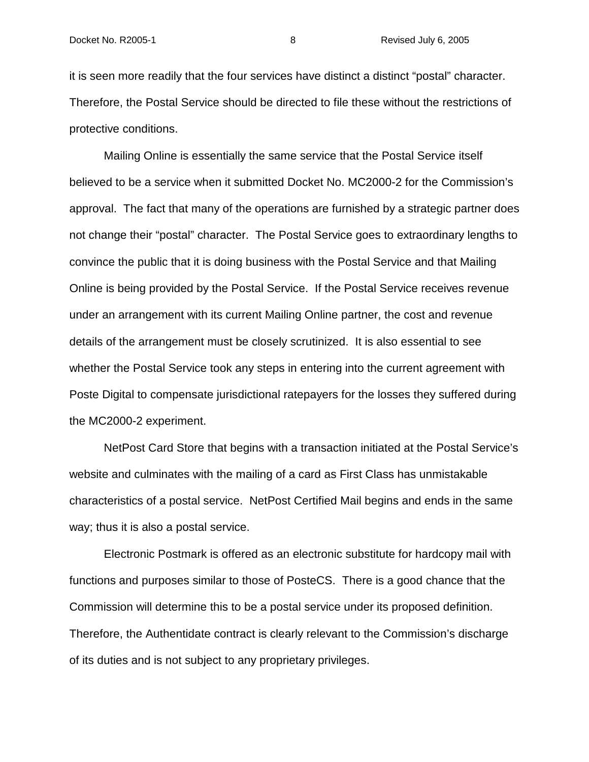it is seen more readily that the four services have distinct a distinct "postal" character. Therefore, the Postal Service should be directed to file these without the restrictions of protective conditions.

 Mailing Online is essentially the same service that the Postal Service itself believed to be a service when it submitted Docket No. MC2000-2 for the Commission's approval. The fact that many of the operations are furnished by a strategic partner does not change their "postal" character. The Postal Service goes to extraordinary lengths to convince the public that it is doing business with the Postal Service and that Mailing Online is being provided by the Postal Service. If the Postal Service receives revenue under an arrangement with its current Mailing Online partner, the cost and revenue details of the arrangement must be closely scrutinized. It is also essential to see whether the Postal Service took any steps in entering into the current agreement with Poste Digital to compensate jurisdictional ratepayers for the losses they suffered during the MC2000-2 experiment.

 NetPost Card Store that begins with a transaction initiated at the Postal Service's website and culminates with the mailing of a card as First Class has unmistakable characteristics of a postal service. NetPost Certified Mail begins and ends in the same way; thus it is also a postal service.

 Electronic Postmark is offered as an electronic substitute for hardcopy mail with functions and purposes similar to those of PosteCS. There is a good chance that the Commission will determine this to be a postal service under its proposed definition. Therefore, the Authentidate contract is clearly relevant to the Commission's discharge of its duties and is not subject to any proprietary privileges.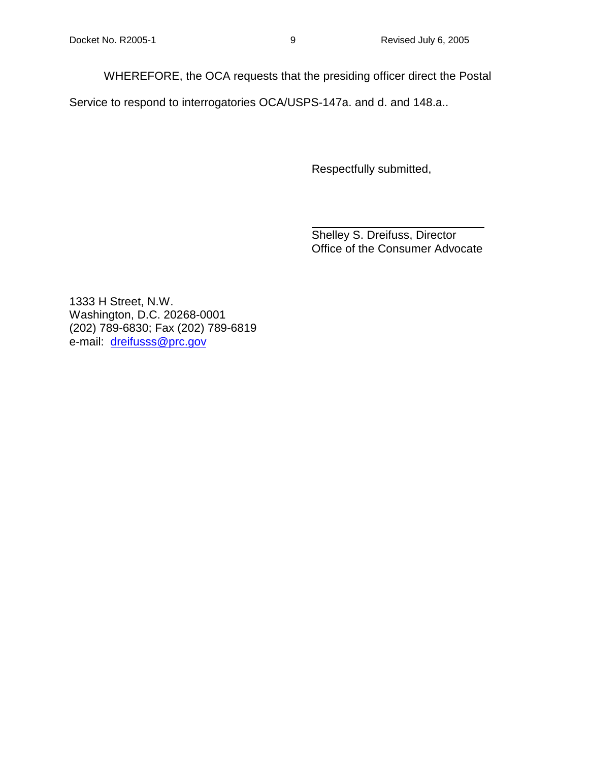WHEREFORE, the OCA requests that the presiding officer direct the Postal

Service to respond to interrogatories OCA/USPS-147a. and d. and 148.a..

Respectfully submitted,

Shelley S. Dreifuss, Director Office of the Consumer Advocate

1333 H Street, N.W. Washington, D.C. 20268-0001 (202) 789-6830; Fax (202) 789-6819 e-mail: dreifusss@prc.gov